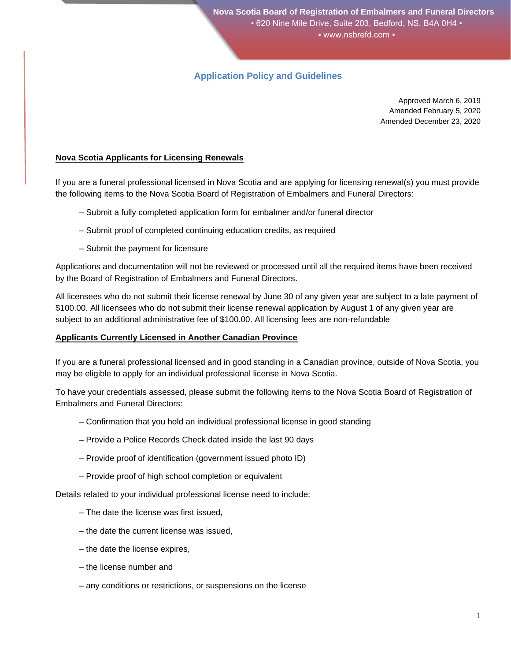# **Application Policy and Guidelines**

Approved March 6, 2019 Amended February 5, 2020 Amended December 23, 2020

# **Nova Scotia Applicants for Licensing Renewals**

If you are a funeral professional licensed in Nova Scotia and are applying for licensing renewal(s) you must provide the following items to the Nova Scotia Board of Registration of Embalmers and Funeral Directors:

- Submit a fully completed application form for embalmer and/or funeral director
- Submit proof of completed continuing education credits, as required
- Submit the payment for licensure

Applications and documentation will not be reviewed or processed until all the required items have been received by the Board of Registration of Embalmers and Funeral Directors.

All licensees who do not submit their license renewal by June 30 of any given year are subject to a late payment of \$100.00. All licensees who do not submit their license renewal application by August 1 of any given year are subject to an additional administrative fee of \$100.00. All licensing fees are non-refundable

# **Applicants Currently Licensed in Another Canadian Province**

If you are a funeral professional licensed and in good standing in a Canadian province, outside of Nova Scotia, you may be eligible to apply for an individual professional license in Nova Scotia.

To have your credentials assessed, please submit the following items to the Nova Scotia Board of Registration of Embalmers and Funeral Directors:

- Confirmation that you hold an individual professional license in good standing
- Provide a Police Records Check dated inside the last 90 days
- Provide proof of identification (government issued photo ID)
- Provide proof of high school completion or equivalent

Details related to your individual professional license need to include:

- The date the license was first issued,
- the date the current license was issued,
- the date the license expires,
- the license number and
- any conditions or restrictions, or suspensions on the license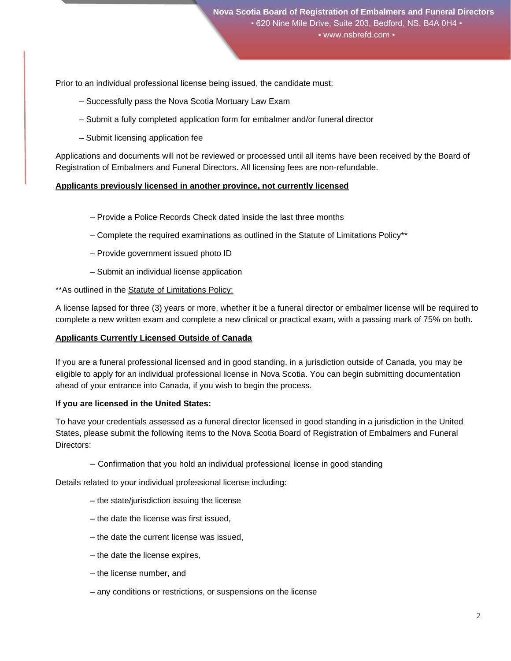Prior to an individual professional license being issued, the candidate must:

- Successfully pass the Nova Scotia Mortuary Law Exam
- Submit a fully completed application form for embalmer and/or funeral director
- Submit licensing application fee

Applications and documents will not be reviewed or processed until all items have been received by the Board of Registration of Embalmers and Funeral Directors. All licensing fees are non-refundable.

#### **Applicants previously licensed in another province, not currently licensed**

- Provide a Police Records Check dated inside the last three months
- Complete the required examinations as outlined in the Statute of Limitations Policy\*\*
- Provide government issued photo ID
- Submit an individual license application

#### \*\*As outlined in the Statute of Limitations Policy:

A license lapsed for three (3) years or more, whether it be a funeral director or embalmer license will be required to complete a new written exam and complete a new clinical or practical exam, with a passing mark of 75% on both.

#### **Applicants Currently Licensed Outside of Canada**

If you are a funeral professional licensed and in good standing, in a jurisdiction outside of Canada, you may be eligible to apply for an individual professional license in Nova Scotia. You can begin submitting documentation ahead of your entrance into Canada, if you wish to begin the process.

#### **If you are licensed in the United States:**

To have your credentials assessed as a funeral director licensed in good standing in a jurisdiction in the United States, please submit the following items to the Nova Scotia Board of Registration of Embalmers and Funeral Directors:

– Confirmation that you hold an individual professional license in good standing

Details related to your individual professional license including:

- the state/jurisdiction issuing the license
- the date the license was first issued,
- the date the current license was issued,
- the date the license expires,
- the license number, and
- any conditions or restrictions, or suspensions on the license